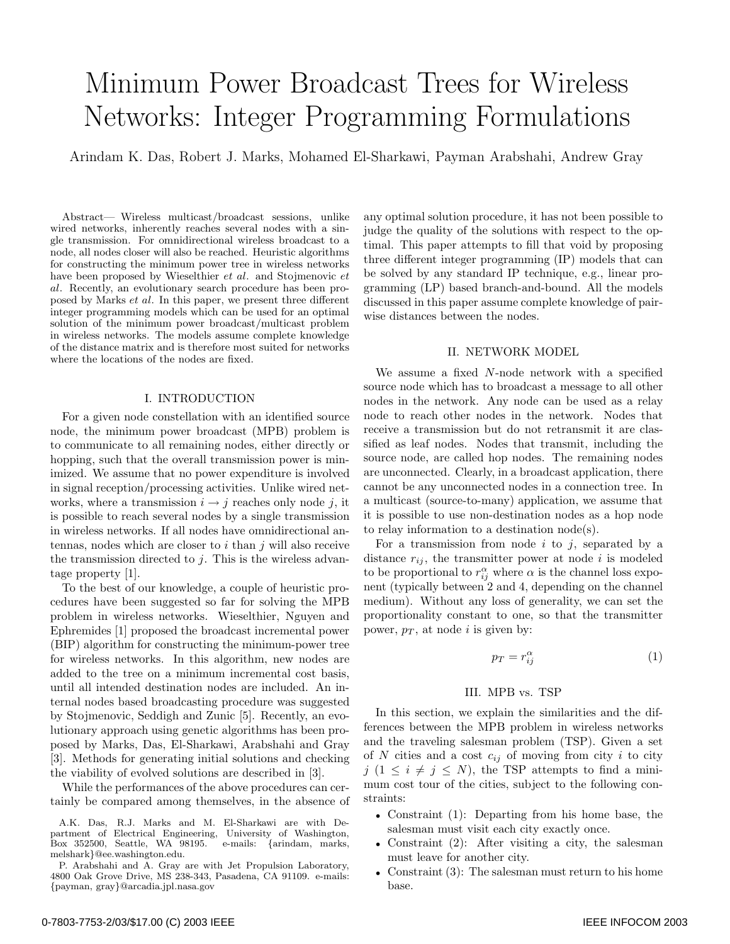# Minimum Power Broadcast Trees for Wireless Networks: Integer Programming Formulations

Arindam K. Das, Robert J. Marks, Mohamed El-Sharkawi, Payman Arabshahi, Andrew Gray

Abstract— Wireless multicast/broadcast sessions, unlike wired networks, inherently reaches several nodes with a single transmission. For omnidirectional wireless broadcast to a node, all nodes closer will also be reached. Heuristic algorithms for constructing the minimum power tree in wireless networks have been proposed by Wieselthier *et al*. and Stojmenovic *et al*. Recently, an evolutionary search procedure has been proposed by Marks *et al*. In this paper, we present three different integer programming models which can be used for an optimal solution of the minimum power broadcast/multicast problem in wireless networks. The models assume complete knowledge of the distance matrix and is therefore most suited for networks where the locations of the nodes are fixed.

## I. INTRODUCTION

For a given node constellation with an identified source node, the minimum power broadcast (MPB) problem is to communicate to all remaining nodes, either directly or hopping, such that the overall transmission power is minimized. We assume that no power expenditure is involved in signal reception/processing activities. Unlike wired networks, where a transmission  $i \rightarrow j$  reaches only node j, it is possible to reach several nodes by a single transmission in wireless networks. If all nodes have omnidirectional antennas, nodes which are closer to  $i$  than  $j$  will also receive the transmission directed to  $i$ . This is the wireless advantage property [1].

To the best of our knowledge, a couple of heuristic procedures have been suggested so far for solving the MPB problem in wireless networks. Wieselthier, Nguyen and Ephremides [1] proposed the broadcast incremental power (BIP) algorithm for constructing the minimum-power tree for wireless networks. In this algorithm, new nodes are added to the tree on a minimum incremental cost basis, until all intended destination nodes are included. An internal nodes based broadcasting procedure was suggested by Stojmenovic, Seddigh and Zunic [5]. Recently, an evolutionary approach using genetic algorithms has been proposed by Marks, Das, El-Sharkawi, Arabshahi and Gray [3]. Methods for generating initial solutions and checking the viability of evolved solutions are described in [3].

While the performances of the above procedures can certainly be compared among themselves, in the absence of

any optimal solution procedure, it has not been possible to judge the quality of the solutions with respect to the optimal. This paper attempts to fill that void by proposing three different integer programming (IP) models that can be solved by any standard IP technique, e.g., linear programming (LP) based branch-and-bound. All the models discussed in this paper assume complete knowledge of pairwise distances between the nodes.

#### II. NETWORK MODEL

We assume a fixed N-node network with a specified source node which has to broadcast a message to all other nodes in the network. Any node can be used as a relay node to reach other nodes in the network. Nodes that receive a transmission but do not retransmit it are classified as leaf nodes. Nodes that transmit, including the source node, are called hop nodes. The remaining nodes are unconnected. Clearly, in a broadcast application, there cannot be any unconnected nodes in a connection tree. In a multicast (source-to-many) application, we assume that it is possible to use non-destination nodes as a hop node to relay information to a destination node(s).

For a transmission from node  $i$  to  $j$ , separated by a distance  $r_{ij}$ , the transmitter power at node i is modeled to be proportional to  $r_{ij}^{\alpha}$  where  $\alpha$  is the channel loss exponent (typically between 2 and 4, depending on the channel medium). Without any loss of generality, we can set the proportionality constant to one, so that the transmitter power,  $p_T$ , at node *i* is given by:

$$
p_T = r_{ij}^{\alpha} \tag{1}
$$

## III. MPB vs. TSP

In this section, we explain the similarities and the differences between the MPB problem in wireless networks and the traveling salesman problem (TSP). Given a set of N cities and a cost  $c_{ij}$  of moving from city i to city j  $(1 \leq i \neq j \leq N)$ , the TSP attempts to find a minimum cost tour of the cities, subject to the following constraints:

- Constraint (1): Departing from his home base, the salesman must visit each city exactly once.
- Constraint (2): After visiting a city, the salesman must leave for another city.
- Constraint (3): The salesman must return to his home base.

A.K. Das, R.J. Marks and M. El-Sharkawi are with Department of Electrical Engineering, University of Washington,  $Box$  352500, Seattle, WA 98195. melshark}@ee.washington.edu.

P. Arabshahi and A. Gray are with Jet Propulsion Laboratory, 4800 Oak Grove Drive, MS 238-343, Pasadena, CA 91109. e-mails: {payman, gray}@arcadia.jpl.nasa.gov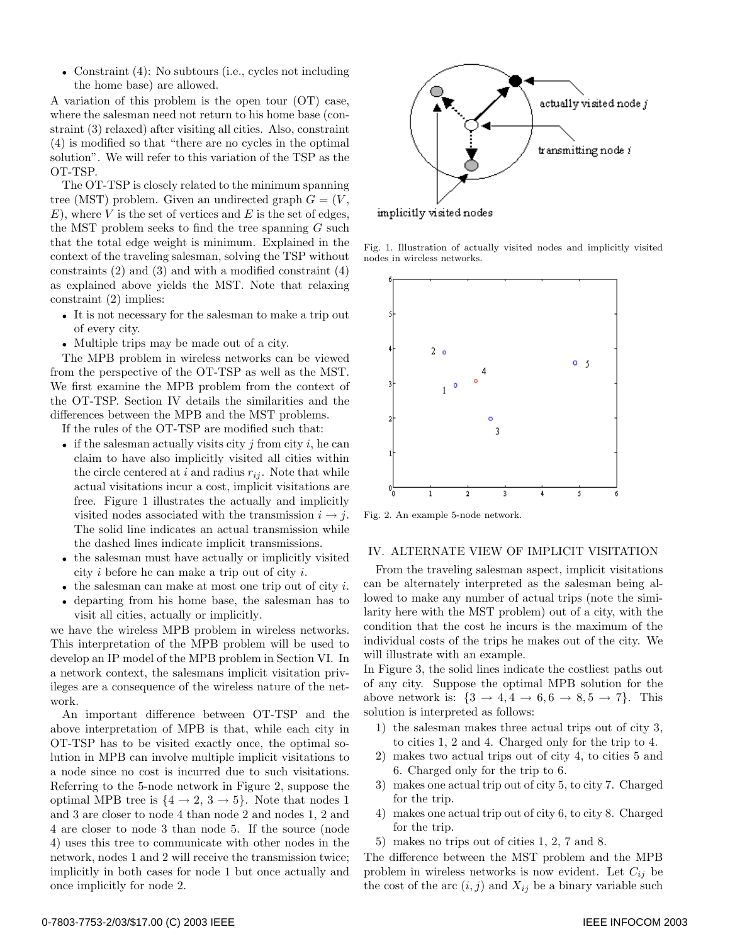• Constraint (4): No subtours (i.e., cycles not including the home base) are allowed.

A variation of this problem is the open tour (OT) case, where the salesman need not return to his home base (constraint (3) relaxed) after visiting all cities. Also, constraint (4) is modified so that "there are no cycles in the optimal solution". We will refer to this variation of the TSP as the OT-TSP.

The OT-TSP is closely related to the minimum spanning tree (MST) problem. Given an undirected graph  $G = (V, \mathcal{E})$  $E$ ), where V is the set of vertices and E is the set of edges, the MST problem seeks to find the tree spanning  $G$  such that the total edge weight is minimum. Explained in the context of the traveling salesman, solving the TSP without constraints  $(2)$  and  $(3)$  and with a modified constraint  $(4)$ as explained above yields the MST. Note that relaxing constraint (2) implies:

- It is not necessary for the salesman to make a trip out of every city.
- Multiple trips may be made out of a city.

The MPB problem in wireless networks can be viewed from the perspective of the OT-TSP as well as the MST. We first examine the MPB problem from the context of the OT-TSP. Section IV details the similarities and the differences between the MPB and the MST problems.

If the rules of the OT-TSP are modified such that:

- if the salesman actually visits city  $j$  from city  $i$ , he can claim to have also implicitly visited all cities within the circle centered at i and radius  $r_{ij}$ . Note that while actual visitations incur a cost, implicit visitations are free. Figure 1 illustrates the actually and implicitly visited nodes associated with the transmission  $i \rightarrow j$ . The solid line indicates an actual transmission while the dashed lines indicate implicit transmissions.
- the salesman must have actually or implicitly visited city i before he can make a trip out of city i.
- the salesman can make at most one trip out of city  $i$ .
- departing from his home base, the salesman has to visit all cities, actually or implicitly.

we have the wireless MPB problem in wireless networks. This interpretation of the MPB problem will be used to develop an IP model of the MPB problem in Section VI. In a network context, the salesmans implicit visitation privileges are a consequence of the wireless nature of the network.

An important difference between OT-TSP and the above interpretation of MPB is that, while each city in OT-TSP has to be visited exactly once, the optimal solution in MPB can involve multiple implicit visitations to a node since no cost is incurred due to such visitations. Referring to the 5-node network in Figure 2, suppose the optimal MPB tree is  $\{4 \rightarrow 2, 3 \rightarrow 5\}$ . Note that nodes 1 and 3 are closer to node 4 than node 2 and nodes 1, 2 and 4 are closer to node 3 than node 5. If the source (node 4) uses this tree to communicate with other nodes in the network, nodes 1 and 2 will receive the transmission twice; implicitly in both cases for node 1 but once actually and once implicitly for node 2.



Fig. 1. Illustration of actually visited nodes and implicitly visited nodes in wireless networks.



Fig. 2. An example 5-node network.

## IV. ALTERNATE VIEW OF IMPLICIT VISITATION

From the traveling salesman aspect, implicit visitations can be alternately interpreted as the salesman being allowed to make any number of actual trips (note the similarity here with the MST problem) out of a city, with the condition that the cost he incurs is the maximum of the individual costs of the trips he makes out of the city. We will illustrate with an example.

In Figure 3, the solid lines indicate the costliest paths out of any city. Suppose the optimal MPB solution for the above network is:  $\{3 \rightarrow 4, 4 \rightarrow 6, 6 \rightarrow 8, 5 \rightarrow 7\}$ . This solution is interpreted as follows:

- 1) the salesman makes three actual trips out of city 3, to cities 1, 2 and 4. Charged only for the trip to 4.
- 2) makes two actual trips out of city 4, to cities 5 and 6. Charged only for the trip to 6.
- 3) makes one actual trip out of city 5, to city 7. Charged for the trip.
- 4) makes one actual trip out of city 6, to city 8. Charged for the trip.
- 5) makes no trips out of cities 1, 2, 7 and 8.

The difference between the MST problem and the MPB problem in wireless networks is now evident. Let  $C_{ij}$  be the cost of the arc  $(i, j)$  and  $X_{ij}$  be a binary variable such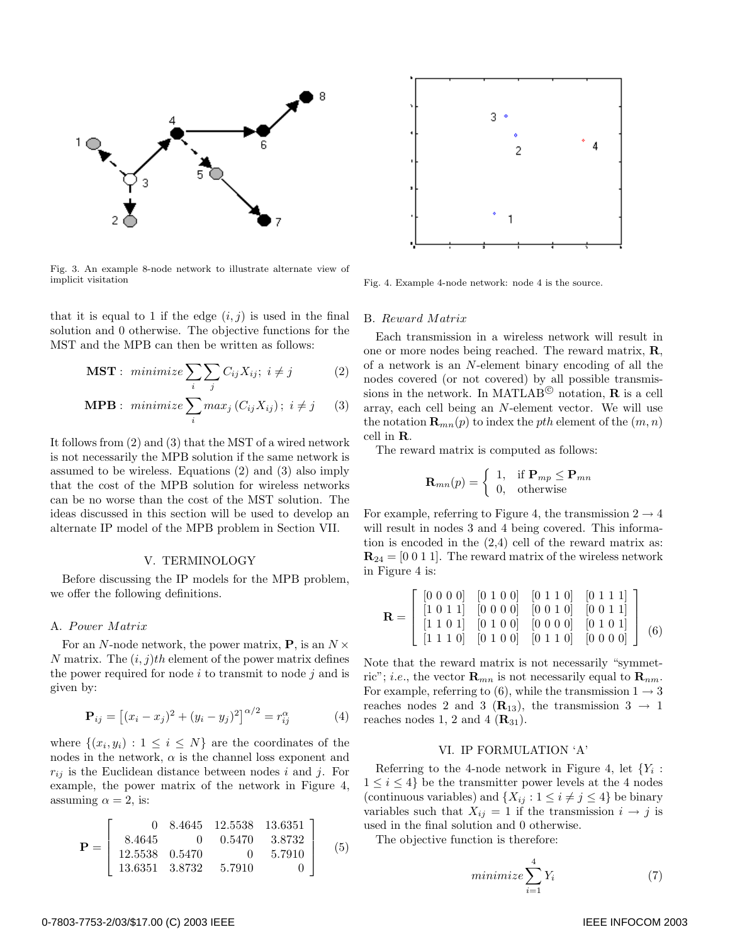

Fig. 3. An example 8-node network to illustrate alternate view of implicit visitation

that it is equal to 1 if the edge  $(i, j)$  is used in the final solution and 0 otherwise. The objective functions for the MST and the MPB can then be written as follows:

$$
\text{MST}: \text{ minimize } \sum_{i} \sum_{j} C_{ij} X_{ij}; \ i \neq j \tag{2}
$$

$$
\textbf{MPB}: \text{ minimize } \sum_{i} \max_{j} (C_{ij} X_{ij}); \ i \neq j \qquad (3)
$$

It follows from (2) and (3) that the MST of a wired network is not necessarily the MPB solution if the same network is assumed to be wireless. Equations (2) and (3) also imply that the cost of the MPB solution for wireless networks can be no worse than the cost of the MST solution. The ideas discussed in this section will be used to develop an alternate IP model of the MPB problem in Section VII.

#### V. TERMINOLOGY

Before discussing the IP models for the MPB problem, we offer the following definitions.

#### A. Power Matrix

For an N-node network, the power matrix,  $P$ , is an  $N \times$ N matrix. The  $(i, j)$ th element of the power matrix defines the power required for node  $i$  to transmit to node  $j$  and is given by:

$$
\mathbf{P}_{ij} = [(x_i - x_j)^2 + (y_i - y_j)^2]^{\alpha/2} = r_{ij}^{\alpha} \tag{4}
$$

where  $\{(x_i, y_i): 1 \leq i \leq N\}$  are the coordinates of the nodes in the network,  $\alpha$  is the channel loss exponent and  $r_{ij}$  is the Euclidean distance between nodes i and j. For example, the power matrix of the network in Figure 4, assuming  $\alpha = 2$ , is:

$$
\mathbf{P} = \left[ \begin{array}{cccc} 0 & 8.4645 & 12.5538 & 13.6351 \\ 8.4645 & 0 & 0.5470 & 3.8732 \\ 12.5538 & 0.5470 & 0 & 5.7910 \\ 13.6351 & 3.8732 & 5.7910 & 0 \end{array} \right] \tag{5}
$$



Fig. 4. Example 4-node network: node 4 is the source.

#### B. Reward Matrix

Each transmission in a wireless network will result in one or more nodes being reached. The reward matrix, **R**, of a network is an N-element binary encoding of all the nodes covered (or not covered) by all possible transmissions in the network. In MATLAB<sup> $\circledcirc$ </sup> notation, **R** is a cell array, each cell being an N-element vector. We will use the notation  $\mathbf{R}_{mn}(p)$  to index the *pth* element of the  $(m, n)$ cell in **R**.

The reward matrix is computed as follows:

$$
\mathbf{R}_{mn}(p) = \left\{ \begin{array}{ll} 1, & \text{if } \mathbf{P}_{mp} \leq \mathbf{P}_{mn} \\ 0, & \text{otherwise} \end{array} \right.
$$

For example, referring to Figure 4, the transmission  $2 \rightarrow 4$ will result in nodes 3 and 4 being covered. This information is encoded in the (2,4) cell of the reward matrix as:  $\mathbf{R}_{24} = [0 \ 0 \ 1 \ 1]$ . The reward matrix of the wireless network in Figure 4 is:

$$
\mathbf{R} = \left[ \begin{array}{cccc|c} [0 \ 0 \ 0 \ 0] & [0 \ 1 \ 0 \ 0] & [0 \ 1 \ 1 \ 0] & [0 \ 1 \ 1 \ 1] \\ [1 \ 0 \ 1 \ 1] & [0 \ 0 \ 0 \ 0] & [0 \ 0 \ 1 \ 0] & [0 \ 0 \ 1 \ 1] \\ [1 \ 1 \ 0 \ 1] & [0 \ 1 \ 0 \ 0] & [0 \ 0 \ 0 \ 0] & [0 \ 1 \ 0 \ 1] \\ [1 \ 1 \ 1 \ 0] & [0 \ 1 \ 0 \ 0] & [0 \ 1 \ 1 \ 0] & [0 \ 0 \ 0 \ 0] \end{array} \right] (6)
$$

Note that the reward matrix is not necessarily "symmetric"; *i.e.*, the vector  $\mathbf{R}_{mn}$  is not necessarily equal to  $\mathbf{R}_{nm}$ . For example, referring to (6), while the transmission  $1 \rightarrow 3$ reaches nodes 2 and 3 ( $\mathbf{R}_{13}$ ), the transmission 3  $\rightarrow$  1 reaches nodes 1, 2 and 4  $(\mathbf{R}_{31})$ .

### VI. IP FORMULATION 'A'

Referring to the 4-node network in Figure 4, let  ${Y_i$ :  $1 \leq i \leq 4$  be the transmitter power levels at the 4 nodes (continuous variables) and  $\{X_{ij} : 1 \le i \ne j \le 4\}$  be binary variables such that  $X_{ij} = 1$  if the transmission  $i \rightarrow j$  is used in the final solution and 0 otherwise.

The objective function is therefore:

$$
minimize \sum_{i=1}^{4} Y_i
$$
 (7)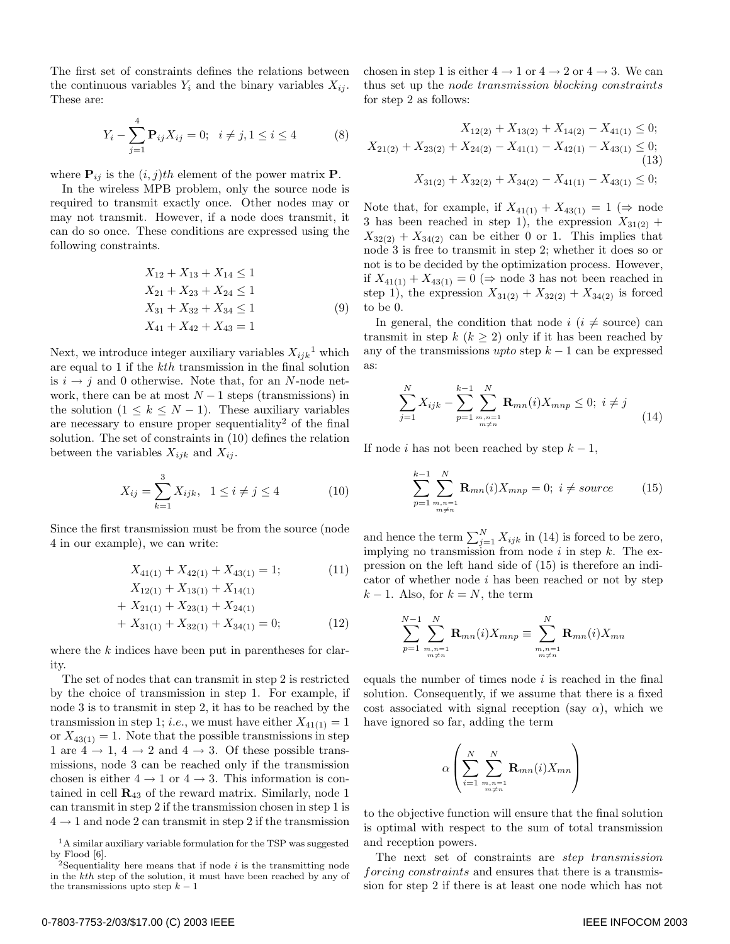The first set of constraints defines the relations between the continuous variables  $Y_i$  and the binary variables  $X_{ij}$ . These are:

$$
Y_i - \sum_{j=1}^{4} \mathbf{P}_{ij} X_{ij} = 0; \quad i \neq j, 1 \le i \le 4
$$
 (8)

where  $P_{ij}$  is the  $(i, j)$ th element of the power matrix **P**.

In the wireless MPB problem, only the source node is required to transmit exactly once. Other nodes may or may not transmit. However, if a node does transmit, it can do so once. These conditions are expressed using the following constraints.

$$
X_{12} + X_{13} + X_{14} \le 1
$$
  
\n
$$
X_{21} + X_{23} + X_{24} \le 1
$$
  
\n
$$
X_{31} + X_{32} + X_{34} \le 1
$$
  
\n
$$
X_{41} + X_{42} + X_{43} = 1
$$
\n(9)

Next, we introduce integer auxiliary variables  $X_{ijk}$ <sup>1</sup> which are equal to 1 if the kth transmission in the final solution is  $i \rightarrow j$  and 0 otherwise. Note that, for an N-node network, there can be at most  $N-1$  steps (transmissions) in the solution  $(1 \leq k \leq N-1)$ . These auxiliary variables are necessary to ensure proper sequentiality<sup>2</sup> of the final solution. The set of constraints in (10) defines the relation between the variables  $X_{ijk}$  and  $X_{ij}$ .

$$
X_{ij} = \sum_{k=1}^{3} X_{ijk}, \ \ 1 \le i \ne j \le 4 \tag{10}
$$

Since the first transmission must be from the source (node 4 in our example), we can write:

$$
X_{41(1)} + X_{42(1)} + X_{43(1)} = 1;
$$
\n
$$
X_{12(1)} + X_{13(1)} + X_{14(1)}
$$
\n
$$
(11)
$$

$$
X_{12(1)} + X_{13(1)} + X_{14(1)}
$$
  
+ 
$$
X_{21(1)} + X_{23(1)} + X_{24(1)}
$$
  
+ 
$$
X_{31(1)} + X_{32(1)} + X_{34(1)} = 0;
$$
 (12)

where the k indices have been put in parentheses for clarity.

The set of nodes that can transmit in step 2 is restricted by the choice of transmission in step 1. For example, if node 3 is to transmit in step 2, it has to be reached by the transmission in step 1; *i.e.*, we must have either  $X_{41(1)} = 1$ or  $X_{43(1)} = 1$ . Note that the possible transmissions in step 1 are  $4 \rightarrow 1$ ,  $4 \rightarrow 2$  and  $4 \rightarrow 3$ . Of these possible transmissions, node 3 can be reached only if the transmission chosen is either  $4 \rightarrow 1$  or  $4 \rightarrow 3$ . This information is contained in cell **R**<sup>43</sup> of the reward matrix. Similarly, node 1 can transmit in step 2 if the transmission chosen in step 1 is  $4 \rightarrow 1$  and node 2 can transmit in step 2 if the transmission chosen in step 1 is either  $4 \rightarrow 1$  or  $4 \rightarrow 2$  or  $4 \rightarrow 3$ . We can thus set up the node transmission blocking constraints for step 2 as follows:

$$
X_{12(2)} + X_{13(2)} + X_{14(2)} - X_{41(1)} \le 0;
$$
  
\n
$$
X_{21(2)} + X_{23(2)} + X_{24(2)} - X_{41(1)} - X_{42(1)} - X_{43(1)} \le 0;
$$
  
\n(13)  
\n
$$
X_{31(2)} + X_{32(2)} + X_{34(2)} - X_{41(1)} - X_{43(1)} \le 0;
$$

Note that, for example, if  $X_{41(1)} + X_{43(1)} = 1$  ( $\Rightarrow$  node 3 has been reached in step 1), the expression  $X_{31(2)}$  +  $X_{32(2)} + X_{34(2)}$  can be either 0 or 1. This implies that node 3 is free to transmit in step 2; whether it does so or not is to be decided by the optimization process. However, if  $X_{41(1)} + X_{43(1)} = 0 \implies \text{node 3 has not been reached in}$ step 1), the expression  $X_{31(2)} + X_{32(2)} + X_{34(2)}$  is forced to be 0.

In general, the condition that node  $i$  ( $i \neq$  source) can transmit in step  $k (k > 2)$  only if it has been reached by any of the transmissions  $upto$  step  $k-1$  can be expressed as:

$$
\sum_{j=1}^{N} X_{ijk} - \sum_{p=1}^{k-1} \sum_{\substack{m,n=1 \ m \neq n}}^{N} \mathbf{R}_{mn}(i) X_{mnp} \le 0; \ i \ne j \tag{14}
$$

If node i has not been reached by step  $k - 1$ ,

$$
\sum_{p=1}^{k-1} \sum_{\substack{m,n=1 \ m \neq n}}^{N} \mathbf{R}_{mn}(i) X_{mnp} = 0; \ i \neq source \qquad (15)
$$

and hence the term  $\sum_{j=1}^{N} X_{ijk}$  in (14) is forced to be zero, implying no transmission from node  $i$  in step  $k$ . The expression on the left hand side of (15) is therefore an indicator of whether node  $i$  has been reached or not by step  $k-1$ . Also, for  $k = N$ , the term

$$
\sum_{p=1}^{N-1} \sum_{\substack{m,n=1 \ m \neq n}}^{N} \mathbf{R}_{mn}(i) X_{mnp} \equiv \sum_{\substack{m,n=1 \ m \neq n}}^{N} \mathbf{R}_{mn}(i) X_{mn}
$$

equals the number of times node  $i$  is reached in the final solution. Consequently, if we assume that there is a fixed cost associated with signal reception (say  $\alpha$ ), which we have ignored so far, adding the term

$$
\alpha \left( \sum_{i=1}^{N} \sum_{m,n=1 \atop m \neq n}^{N} \mathbf{R}_{mn}(i) X_{mn} \right)
$$

to the objective function will ensure that the final solution is optimal with respect to the sum of total transmission and reception powers.

The next set of constraints are step transmission forcing constraints and ensures that there is a transmission for step 2 if there is at least one node which has not

<sup>&</sup>lt;sup>1</sup>A similar auxiliary variable formulation for the TSP was suggested by Flood [6].

<sup>2</sup>Sequentiality here means that if node *i* is the transmitting node in the *kth* step of the solution, it must have been reached by any of the transmissions upto step  $k-1$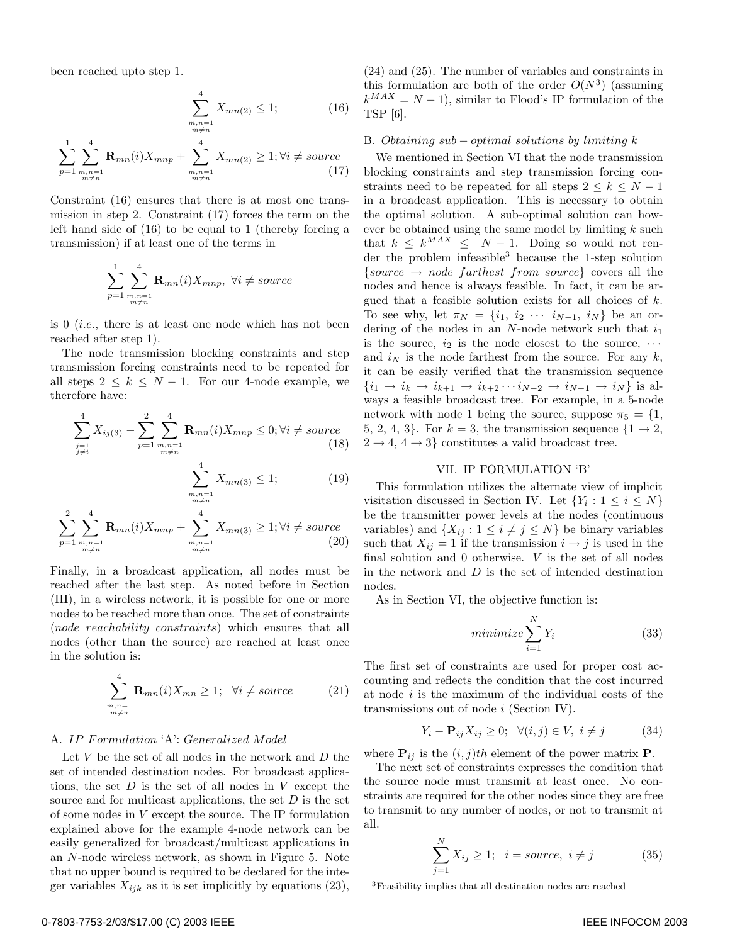been reached upto step 1.

$$
\sum_{\substack{m,n=1 \ m \neq n}}^{4} X_{mn(2)} \le 1; \tag{16}
$$

$$
\sum_{p=1}^{1} \sum_{\substack{m,n=1 \ m \neq n}}^{4} \mathbf{R}_{mn}(i) X_{mnp} + \sum_{\substack{m,n=1 \ m \neq n}}^{4} X_{mn(2)} \ge 1; \forall i \neq source \tag{17}
$$

Constraint (16) ensures that there is at most one transmission in step 2. Constraint (17) forces the term on the left hand side of (16) to be equal to 1 (thereby forcing a transmission) if at least one of the terms in

$$
\sum_{p=1}^{1} \sum_{\substack{m,n=1 \ m \neq n}}^{4} \mathbf{R}_{mn}(i) X_{mnp}, \ \forall i \neq source
$$

is  $0$  (*i.e.*, there is at least one node which has not been reached after step 1).

The node transmission blocking constraints and step transmission forcing constraints need to be repeated for all steps  $2 \leq k \leq N-1$ . For our 4-node example, we therefore have:

$$
\sum_{\substack{j=1\\j\neq i}}^{4} X_{ij(3)} - \sum_{p=1}^{2} \sum_{\substack{m,n=1\\m\neq n}}^{4} \mathbf{R}_{mn}(i) X_{mnp} \le 0; \forall i \neq source
$$
\n(18)

$$
\sum_{\substack{m,n=1 \ m \neq n}}^{4} X_{mn(3)} \le 1; \tag{19}
$$

$$
\sum_{p=1}^{2} \sum_{\substack{m,n=1 \ m \neq n}}^{4} \mathbf{R}_{mn}(i) X_{mnp} + \sum_{\substack{m,n=1 \ m \neq n}}^{4} X_{mn(3)} \ge 1; \forall i \neq source \tag{20}
$$

Finally, in a broadcast application, all nodes must be reached after the last step. As noted before in Section (III), in a wireless network, it is possible for one or more nodes to be reached more than once. The set of constraints (node reachability constraints) which ensures that all nodes (other than the source) are reached at least once in the solution is:

$$
\sum_{\substack{m,n=1 \ m \neq n}}^{4} \mathbf{R}_{mn}(i) X_{mn} \ge 1; \quad \forall i \neq source \tag{21}
$$

## A. IP Formulation 'A': Generalized Model

Let  $V$  be the set of all nodes in the network and  $D$  the set of intended destination nodes. For broadcast applications, the set  $D$  is the set of all nodes in  $V$  except the source and for multicast applications, the set  $D$  is the set of some nodes in V except the source. The IP formulation explained above for the example 4-node network can be easily generalized for broadcast/multicast applications in an N-node wireless network, as shown in Figure 5. Note that no upper bound is required to be declared for the integer variables  $X_{ijk}$  as it is set implicitly by equations (23),

(24) and (25). The number of variables and constraints in this formulation are both of the order  $O(N^3)$  (assuming  $k^{MAX} = N - 1$ , similar to Flood's IP formulation of the TSP [6].

## B. Obtaining sub – optimal solutions by limiting k

We mentioned in Section VI that the node transmission blocking constraints and step transmission forcing constraints need to be repeated for all steps  $2 \leq k \leq N-1$ in a broadcast application. This is necessary to obtain the optimal solution. A sub-optimal solution can however be obtained using the same model by limiting  $k$  such that  $k \leq k^{MAX} \leq N-1$ . Doing so would not render the problem infeasible<sup>3</sup> because the 1-step solution  $\{source \rightarrow node \ \} \ \text{from} \ \text{source} \} \ \text{covers all} \ \text{the}$ nodes and hence is always feasible. In fact, it can be argued that a feasible solution exists for all choices of  $k$ . To see why, let  $\pi_N = \{i_1, i_2 \cdots i_{N-1}, i_N\}$  be an ordering of the nodes in an  $N$ -node network such that  $i_1$ is the source,  $i_2$  is the node closest to the source,  $\cdots$ and  $i_N$  is the node farthest from the source. For any k, it can be easily verified that the transmission sequence  ${i_1 \to i_k \to i_{k+1} \to i_{k+2} \cdots i_{N-2} \to i_{N-1} \to i_N}$  is always a feasible broadcast tree. For example, in a 5-node network with node 1 being the source, suppose  $\pi_5 = \{1,$ 5, 2, 4, 3}. For  $k = 3$ , the transmission sequence  $\{1 \rightarrow 2,$  $2 \rightarrow 4, 4 \rightarrow 3$  constitutes a valid broadcast tree.

#### VII. IP FORMULATION 'B'

This formulation utilizes the alternate view of implicit visitation discussed in Section IV. Let  $\{Y_i : 1 \leq i \leq N\}$ be the transmitter power levels at the nodes (continuous variables) and  $\{X_{ij} : 1 \leq i \neq j \leq N\}$  be binary variables such that  $X_{ij} = 1$  if the transmission  $i \rightarrow j$  is used in the final solution and 0 otherwise. V is the set of all nodes in the network and  $D$  is the set of intended destination nodes.

As in Section VI, the objective function is:

$$
minimize \sum_{i=1}^{N} Y_i
$$
\n(33)

The first set of constraints are used for proper cost accounting and reflects the condition that the cost incurred at node  $i$  is the maximum of the individual costs of the transmissions out of node i (Section IV).

$$
Y_i - \mathbf{P}_{ij} X_{ij} \ge 0; \quad \forall (i, j) \in V, \ i \ne j \tag{34}
$$

where  $P_{ij}$  is the  $(i, j)th$  element of the power matrix  $P$ .

The next set of constraints expresses the condition that the source node must transmit at least once. No constraints are required for the other nodes since they are free to transmit to any number of nodes, or not to transmit at all.

$$
\sum_{j=1}^{N} X_{ij} \ge 1; \quad i = source, \quad i \ne j \tag{35}
$$

<sup>3</sup>Feasibility implies that all destination nodes are reached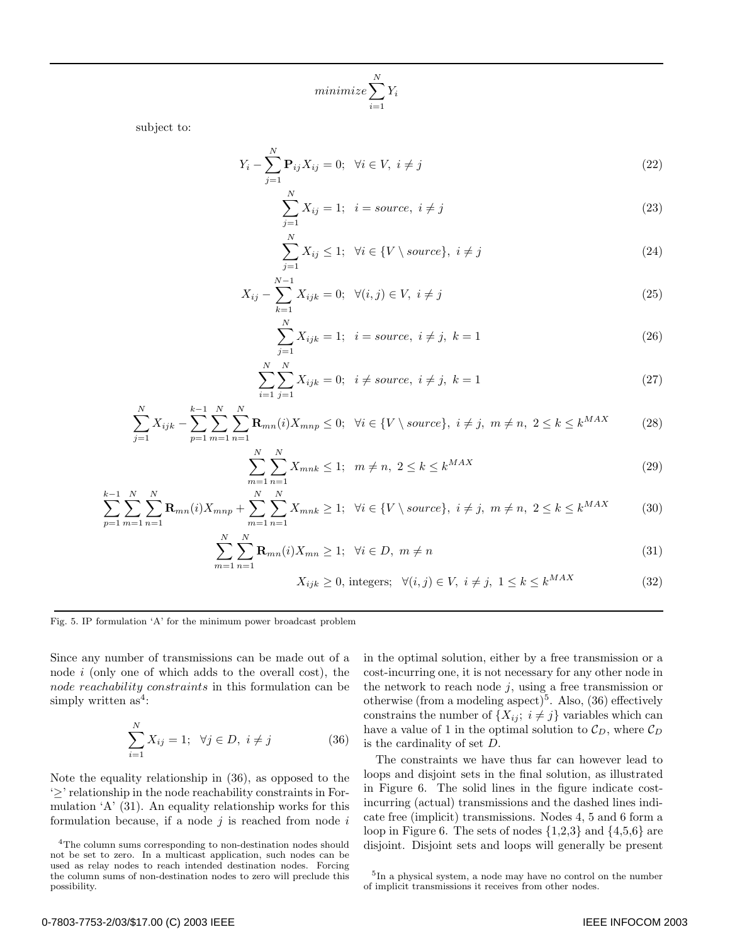$$
minimize \sum_{i=1}^{N} Y_i
$$

subject to:

$$
Y_i - \sum_{j=1}^{N} \mathbf{P}_{ij} X_{ij} = 0; \ \forall i \in V, \ i \neq j
$$
 (22)

$$
\sum_{j=1}^{N} X_{ij} = 1; \quad i = source, \quad i \neq j \tag{23}
$$

$$
\sum_{j=1}^{N} X_{ij} \le 1; \ \ \forall i \in \{V \setminus source\}, \ i \ne j \tag{24}
$$

$$
X_{ij} - \sum_{k=1}^{N-1} X_{ijk} = 0; \ \ \forall (i, j) \in V, \ i \neq j \tag{25}
$$

$$
\sum_{j=1}^{N} X_{ijk} = 1; \ \ i = source, \ i \neq j, \ k = 1 \tag{26}
$$

$$
\sum_{i=1}^{N} \sum_{j=1}^{N} X_{ijk} = 0; \ \ i \neq source, \ i \neq j, \ k = 1
$$
\n(27)

$$
\sum_{j=1}^{N} X_{ijk} - \sum_{p=1}^{k-1} \sum_{m=1}^{N} \sum_{n=1}^{N} \mathbf{R}_{mn}(i) X_{mnp} \le 0; \ \ \forall i \in \{V \setminus source\}, \ i \ne j, \ m \ne n, \ 2 \le k \le k^{MAX} \tag{28}
$$

$$
\sum_{m=1}^{N} \sum_{n=1}^{N} X_{mnk} \le 1; \ \ m \ne n, \ 2 \le k \le k^{MAX} \tag{29}
$$

$$
\sum_{p=1}^{k-1} \sum_{m=1}^{N} \sum_{n=1}^{N} \mathbf{R}_{mn}(i) X_{mnp} + \sum_{m=1}^{N} \sum_{n=1}^{N} X_{mnk} \ge 1; \ \ \forall i \in \{V \setminus source\}, \ i \ne j, \ m \ne n, \ 2 \le k \le k^{MAX} \tag{30}
$$

$$
\sum_{m=1}^{N} \sum_{n=1}^{N} \mathbf{R}_{mn}(i) X_{mn} \ge 1; \quad \forall i \in D, \ m \ne n
$$
\n
$$
(31)
$$

$$
X_{ijk} \ge 0, \text{ integers}; \quad \forall (i, j) \in V, \ i \ne j, \ 1 \le k \le k^{MAX} \tag{32}
$$

Fig. 5. IP formulation 'A' for the minimum power broadcast problem

Since any number of transmissions can be made out of a node  $i$  (only one of which adds to the overall cost), the node reachability constraints in this formulation can be simply written  $as<sup>4</sup>$ :

$$
\sum_{i=1}^{N} X_{ij} = 1; \ \ \forall j \in D, \ i \neq j \tag{36}
$$

 $\overline{n}$ 

Note the equality relationship in (36), as opposed to the '≥' relationship in the node reachability constraints in Formulation 'A' (31). An equality relationship works for this formulation because, if a node  $j$  is reached from node  $i$ 

in the optimal solution, either by a free transmission or a cost-incurring one, it is not necessary for any other node in the network to reach node  $j$ , using a free transmission or otherwise (from a modeling aspect)<sup>5</sup>. Also, (36) effectively constrains the number of  $\{X_{ij}; i \neq j\}$  variables which can have a value of 1 in the optimal solution to  $\mathcal{C}_D,$  where  $\mathcal{C}_D$ is the cardinality of set D.

The constraints we have thus far can however lead to loops and disjoint sets in the final solution, as illustrated in Figure 6. The solid lines in the figure indicate costincurring (actual) transmissions and the dashed lines indicate free (implicit) transmissions. Nodes 4, 5 and 6 form a loop in Figure 6. The sets of nodes  $\{1,2,3\}$  and  $\{4,5,6\}$  are disjoint. Disjoint sets and loops will generally be present

 ${}^4\mathrm{The}$  column sums corresponding to non-destination nodes should not be set to zero. In a multicast application, such nodes can be used as relay nodes to reach intended destination nodes. Forcing the column sums of non-destination nodes to zero will preclude this possibility.

<sup>5</sup>In a physical system, a node may have no control on the number of implicit transmissions it receives from other nodes.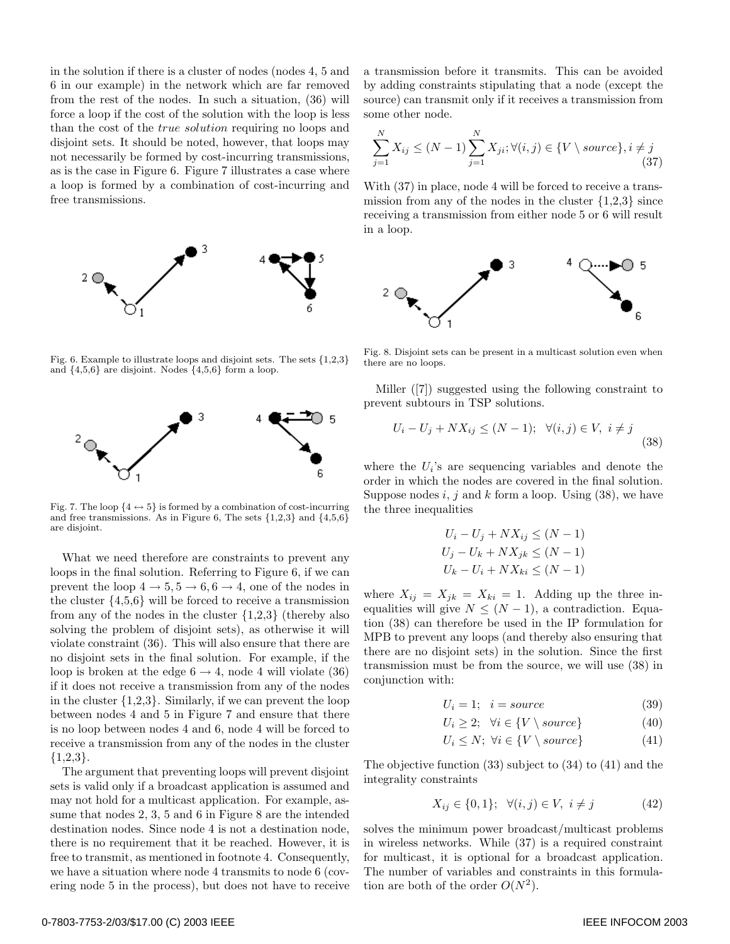in the solution if there is a cluster of nodes (nodes 4, 5 and 6 in our example) in the network which are far removed from the rest of the nodes. In such a situation, (36) will force a loop if the cost of the solution with the loop is less than the cost of the true solution requiring no loops and disjoint sets. It should be noted, however, that loops may not necessarily be formed by cost-incurring transmissions, as is the case in Figure 6. Figure 7 illustrates a case where a loop is formed by a combination of cost-incurring and free transmissions.



Fig. 6. Example to illustrate loops and disjoint sets. The sets {1,2,3} and  $\{4,5,6\}$  are disjoint. Nodes  $\{4,5,6\}$  form a loop.



Fig. 7. The loop  $\{4 \leftrightarrow 5\}$  is formed by a combination of cost-incurring and free transmissions. As in Figure 6, The sets  $\{1,2,3\}$  and  $\{4,5,6\}$ are disjoint.

What we need therefore are constraints to prevent any loops in the final solution. Referring to Figure 6, if we can prevent the loop  $4 \rightarrow 5, 5 \rightarrow 6, 6 \rightarrow 4$ , one of the nodes in the cluster {4,5,6} will be forced to receive a transmission from any of the nodes in the cluster  $\{1,2,3\}$  (thereby also solving the problem of disjoint sets), as otherwise it will violate constraint (36). This will also ensure that there are no disjoint sets in the final solution. For example, if the loop is broken at the edge  $6 \rightarrow 4$ , node 4 will violate (36) if it does not receive a transmission from any of the nodes in the cluster  $\{1,2,3\}$ . Similarly, if we can prevent the loop between nodes 4 and 5 in Figure 7 and ensure that there is no loop between nodes 4 and 6, node 4 will be forced to receive a transmission from any of the nodes in the cluster  ${1,2,3}.$ 

The argument that preventing loops will prevent disjoint sets is valid only if a broadcast application is assumed and may not hold for a multicast application. For example, assume that nodes 2, 3, 5 and 6 in Figure 8 are the intended destination nodes. Since node 4 is not a destination node, there is no requirement that it be reached. However, it is free to transmit, as mentioned in footnote 4. Consequently, we have a situation where node 4 transmits to node 6 (covering node 5 in the process), but does not have to receive

a transmission before it transmits. This can be avoided by adding constraints stipulating that a node (except the source) can transmit only if it receives a transmission from some other node.

$$
\sum_{j=1}^{N} X_{ij} \le (N-1) \sum_{j=1}^{N} X_{ji}; \forall (i, j) \in \{V \setminus source\}, i \ne j \tag{37}
$$

With  $(37)$  in place, node 4 will be forced to receive a transmission from any of the nodes in the cluster  $\{1,2,3\}$  since receiving a transmission from either node 5 or 6 will result in a loop.



Fig. 8. Disjoint sets can be present in a multicast solution even when there are no loops.

Miller ([7]) suggested using the following constraint to prevent subtours in TSP solutions.

$$
U_i - U_j + N X_{ij} \le (N - 1); \quad \forall (i, j) \in V, \ i \ne j \tag{38}
$$

where the  $U_i$ 's are sequencing variables and denote the order in which the nodes are covered in the final solution. Suppose nodes  $i, j$  and  $k$  form a loop. Using (38), we have the three inequalities

$$
U_i - U_j + N X_{ij} \leq (N - 1)
$$
  
\n
$$
U_j - U_k + N X_{jk} \leq (N - 1)
$$
  
\n
$$
U_k - U_i + N X_{ki} \leq (N - 1)
$$

where  $X_{ij} = X_{jk} = X_{ki} = 1$ . Adding up the three inequalities will give  $N \leq (N-1)$ , a contradiction. Equation (38) can therefore be used in the IP formulation for MPB to prevent any loops (and thereby also ensuring that there are no disjoint sets) in the solution. Since the first transmission must be from the source, we will use (38) in conjunction with:

$$
U_i = 1; \quad i = source \tag{39}
$$

$$
U_i \ge 2; \quad \forall i \in \{V \setminus source\} \tag{40}
$$

$$
U_i \le N; \ \forall i \in \{V \setminus source\} \tag{41}
$$

The objective function (33) subject to (34) to (41) and the integrality constraints

$$
X_{ij} \in \{0, 1\}; \ \ \forall (i, j) \in V, \ i \neq j \tag{42}
$$

solves the minimum power broadcast/multicast problems in wireless networks. While (37) is a required constraint for multicast, it is optional for a broadcast application. The number of variables and constraints in this formulation are both of the order  $O(N^2)$ .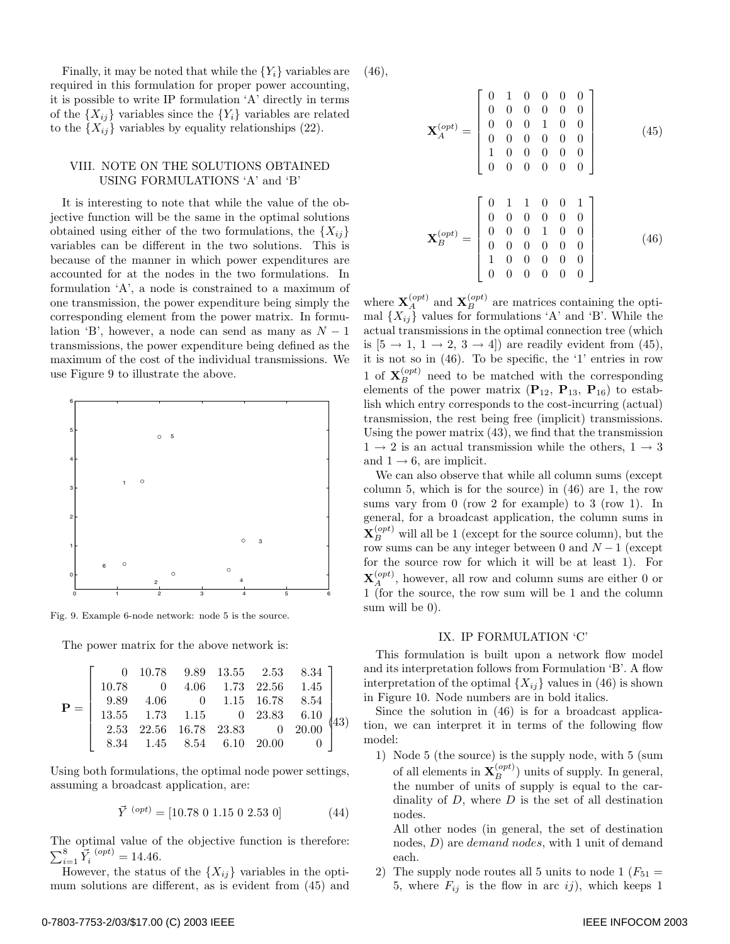Finally, it may be noted that while the  ${Y_i}$  variables are required in this formulation for proper power accounting, it is possible to write IP formulation 'A' directly in terms of the  $\{X_{ij}\}\$  variables since the  $\{Y_i\}\$  variables are related to the  $\{X_{ij}\}\$  variables by equality relationships (22).

## VIII. NOTE ON THE SOLUTIONS OBTAINED USING FORMULATIONS 'A' and 'B'

It is interesting to note that while the value of the objective function will be the same in the optimal solutions obtained using either of the two formulations, the  ${X_{ii}}$ variables can be different in the two solutions. This is because of the manner in which power expenditures are accounted for at the nodes in the two formulations. In formulation 'A', a node is constrained to a maximum of one transmission, the power expenditure being simply the corresponding element from the power matrix. In formulation 'B', however, a node can send as many as  $N-1$ transmissions, the power expenditure being defined as the maximum of the cost of the individual transmissions. We use Figure 9 to illustrate the above.



Fig. 9. Example 6-node network: node 5 is the source.

The power matrix for the above network is:

$$
\mathbf{P} = \left[\begin{array}{ccccc} 0 & 10.78 & 9.89 & 13.55 & 2.53 & 8.34 \\ 10.78 & 0 & 4.06 & 1.73 & 22.56 & 1.45 \\ 9.89 & 4.06 & 0 & 1.15 & 16.78 & 8.54 \\ 13.55 & 1.73 & 1.15 & 0 & 23.83 & 6.10 \\ 2.53 & 22.56 & 16.78 & 23.83 & 0 & 20.00 \\ 8.34 & 1.45 & 8.54 & 6.10 & 20.00 & 0 \end{array}\right] \hspace{-1em} \left.\begin{array}{c} 43 \\ 43 \end{array}\right]
$$

Using both formulations, the optimal node power settings, assuming a broadcast application, are:

$$
\vec{Y}^{(opt)} = [10.78 \ 0 \ 1.15 \ 0 \ 2.53 \ 0] \tag{44}
$$

The optimal value of the objective function is therefore:  $\sum_{i=1}^{8} \vec{Y}_i^{ (opt)} = 14.46.$ 

However, the status of the  $\{X_{ij}\}\$  variables in the optimum solutions are different, as is evident from (45) and (46),

$$
\mathbf{X}_{A}^{(opt)} = \begin{bmatrix} 0 & 1 & 0 & 0 & 0 & 0 \\ 0 & 0 & 0 & 0 & 0 & 0 \\ 0 & 0 & 0 & 1 & 0 & 0 \\ 0 & 0 & 0 & 0 & 0 & 0 \\ 1 & 0 & 0 & 0 & 0 & 0 \\ 0 & 0 & 0 & 0 & 0 & 0 \end{bmatrix}
$$
(45)  

$$
\mathbf{X}_{B}^{(opt)} = \begin{bmatrix} 0 & 1 & 1 & 0 & 0 & 1 \\ 0 & 0 & 0 & 0 & 0 & 0 \\ 0 & 0 & 0 & 1 & 0 & 0 \\ 0 & 0 & 0 & 0 & 0 & 0 \\ 1 & 0 & 0 & 0 & 0 & 0 \\ 0 & 0 & 0 & 0 & 0 & 0 \end{bmatrix}
$$
(46)

where  $\mathbf{X}_{A}^{(opt)}$  and  $\mathbf{X}_{B}^{(opt)}$  are matrices containing the optimal  $\{X_{ij}\}\$  values for formulations 'A' and 'B'. While the actual transmissions in the optimal connection tree (which is  $[5 \rightarrow 1, 1 \rightarrow 2, 3 \rightarrow 4]$  are readily evident from (45), it is not so in (46). To be specific, the '1' entries in row 1 of  $\mathbf{X}_{B}^{(opt)}$  need to be matched with the corresponding elements of the power matrix  $(\mathbf{P}_{12}, \mathbf{P}_{13}, \mathbf{P}_{16})$  to establish which entry corresponds to the cost-incurring (actual) transmission, the rest being free (implicit) transmissions. Using the power matrix (43), we find that the transmission  $1 \rightarrow 2$  is an actual transmission while the others,  $1 \rightarrow 3$ and  $1 \rightarrow 6$ , are implicit.

We can also observe that while all column sums (except column 5, which is for the source) in (46) are 1, the row sums vary from 0 (row 2 for example) to 3 (row 1). In general, for a broadcast application, the column sums in  $\mathbf{X}_{B}^{(opt)}$  will all be 1 (except for the source column), but the row sums can be any integer between 0 and  $N-1$  (except for the source row for which it will be at least 1). For  $\mathbf{X}_{A}^{(opt)}$ , however, all row and column sums are either 0 or 1 (for the source, the row sum will be 1 and the column sum will be 0).

#### IX. IP FORMULATION 'C'

This formulation is built upon a network flow model and its interpretation follows from Formulation 'B'. A flow interpretation of the optimal  $\{X_{ij}\}\$  values in (46) is shown in Figure 10. Node numbers are in bold italics.

Since the solution in (46) is for a broadcast application, we can interpret it in terms of the following flow model:

1) Node 5 (the source) is the supply node, with 5 (sum of all elements in  $\mathbf{X}_{B}^{(opt)}$ ) units of supply. In general, the number of units of supply is equal to the cardinality of  $D$ , where  $D$  is the set of all destination nodes.

All other nodes (in general, the set of destination nodes, *D*) are *demand nodes*, with 1 unit of demand each.

2) The supply node routes all 5 units to node 1 ( $F_{51}$  = 5, where  $F_{ij}$  is the flow in arc ij), which keeps 1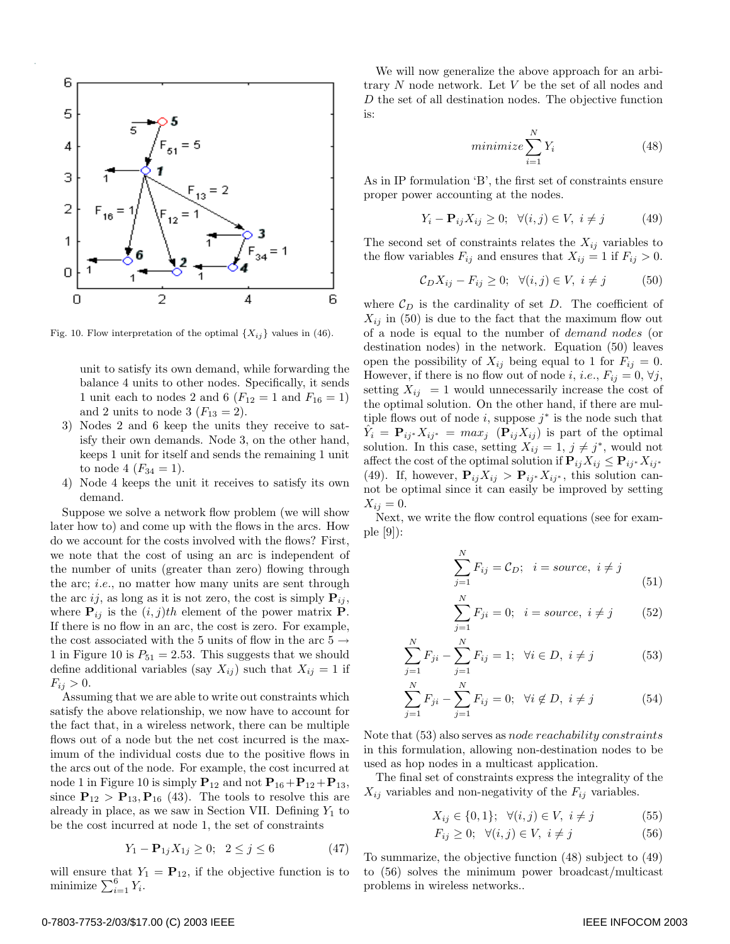

Fig. 10. Flow interpretation of the optimal  $\{X_{ij}\}\$  values in (46).

unit to satisfy its own demand, while forwarding the balance 4 units to other nodes. Specifically, it sends 1 unit each to nodes 2 and 6 ( $F_{12} = 1$  and  $F_{16} = 1$ ) and 2 units to node 3  $(F_{13} = 2)$ .

- 3) Nodes 2 and 6 keep the units they receive to satisfy their own demands. Node 3, on the other hand, keeps 1 unit for itself and sends the remaining 1 unit to node 4  $(F_{34} = 1)$ .
- 4) Node 4 keeps the unit it receives to satisfy its own demand.

Suppose we solve a network flow problem (we will show later how to) and come up with the flows in the arcs. How do we account for the costs involved with the flows? First, we note that the cost of using an arc is independent of the number of units (greater than zero) flowing through the arc; i.e., no matter how many units are sent through the arc ij, as long as it is not zero, the cost is simply  $P_{ij}$ , where  $P_{ij}$  is the  $(i, j)$ th element of the power matrix **P**. If there is no flow in an arc, the cost is zero. For example, the cost associated with the 5 units of flow in the arc 5  $\rightarrow$ 1 in Figure 10 is  $P_{51} = 2.53$ . This suggests that we should define additional variables (say  $X_{ij}$ ) such that  $X_{ij} = 1$  if  $F_{ij} > 0.$ 

Assuming that we are able to write out constraints which satisfy the above relationship, we now have to account for the fact that, in a wireless network, there can be multiple flows out of a node but the net cost incurred is the maximum of the individual costs due to the positive flows in the arcs out of the node. For example, the cost incurred at node 1 in Figure 10 is simply  $P_{12}$  and not  $P_{16}+P_{12}+P_{13}$ , since  $\mathbf{P}_{12} > \mathbf{P}_{13}$ ,  $\mathbf{P}_{16}$  (43). The tools to resolve this are already in place, as we saw in Section VII. Defining  $Y_1$  to be the cost incurred at node 1, the set of constraints

$$
Y_1 - \mathbf{P}_{1j} X_{1j} \ge 0; \ \ 2 \le j \le 6 \tag{47}
$$

will ensure that  $Y_1 = P_{12}$ , if the objective function is to minimize  $\sum_{i=1}^{6} Y_i$ .

We will now generalize the above approach for an arbitrary N node network. Let V be the set of all nodes and D the set of all destination nodes. The objective function is:

$$
minimize \sum_{i=1}^{N} Y_i
$$
\n(48)

As in IP formulation 'B', the first set of constraints ensure proper power accounting at the nodes.

$$
Y_i - \mathbf{P}_{ij} X_{ij} \ge 0; \quad \forall (i, j) \in V, \ i \ne j \tag{49}
$$

The second set of constraints relates the  $X_{ij}$  variables to the flow variables  $F_{ij}$  and ensures that  $X_{ij} = 1$  if  $F_{ij} > 0$ .

$$
\mathcal{C}_D X_{ij} - F_{ij} \ge 0; \quad \forall (i, j) \in V, \ i \ne j \tag{50}
$$

where  $\mathcal{C}_D$  is the cardinality of set D. The coefficient of  $X_{ij}$  in (50) is due to the fact that the maximum flow out of a node is equal to the number of demand nodes (or destination nodes) in the network. Equation (50) leaves open the possibility of  $X_{ij}$  being equal to 1 for  $F_{ij} = 0$ . However, if there is no flow out of node i, i.e.,  $F_{ij} = 0, \forall j$ , setting  $X_{ij} = 1$  would unnecessarily increase the cost of the optimal solution. On the other hand, if there are multiple flows out of node i, suppose  $j^*$  is the node such that  $\hat{Y}_i = \mathbf{P}_{ij^*} X_{ij^*} = max_j \left( \mathbf{P}_{ij} X_{ij} \right)$  is part of the optimal solution. In this case, setting  $X_{ij} = 1, j \neq j^*$ , would not affect the cost of the optimal solution if  $P_{ij}X_{ij} \leq P_{ij}X_{ij}$ <sup>\*</sup> (49). If, however,  $\mathbf{P}_{ij}X_{ij} > \mathbf{P}_{ij^*}X_{ij^*}$ , this solution cannot be optimal since it can easily be improved by setting  $X_{ij} = 0.$ 

Next, we write the flow control equations (see for example [9]):

$$
\sum_{j=1}^{N} F_{ij} = C_D; \quad i = source, \quad i \neq j \tag{51}
$$

$$
\sum_{j=1}^{N} F_{ji} = 0; \quad i = source, \ i \neq j \tag{52}
$$

$$
\sum_{j=1}^{N} F_{ji} - \sum_{j=1}^{N} F_{ij} = 1; \ \forall i \in D, \ i \neq j \tag{53}
$$

$$
\sum_{j=1}^{N} F_{ji} - \sum_{j=1}^{N} F_{ij} = 0; \ \ \forall i \notin D, \ i \neq j \tag{54}
$$

Note that (53) also serves as node reachability constraints in this formulation, allowing non-destination nodes to be used as hop nodes in a multicast application.

The final set of constraints express the integrality of the  $X_{ij}$  variables and non-negativity of the  $F_{ij}$  variables.

$$
X_{ij} \in \{0, 1\}; \ \ \forall (i, j) \in V, \ i \neq j \tag{55}
$$

$$
F_{ij} \ge 0; \quad \forall (i,j) \in V, \ i \ne j \tag{56}
$$

To summarize, the objective function (48) subject to (49) to (56) solves the minimum power broadcast/multicast problems in wireless networks..